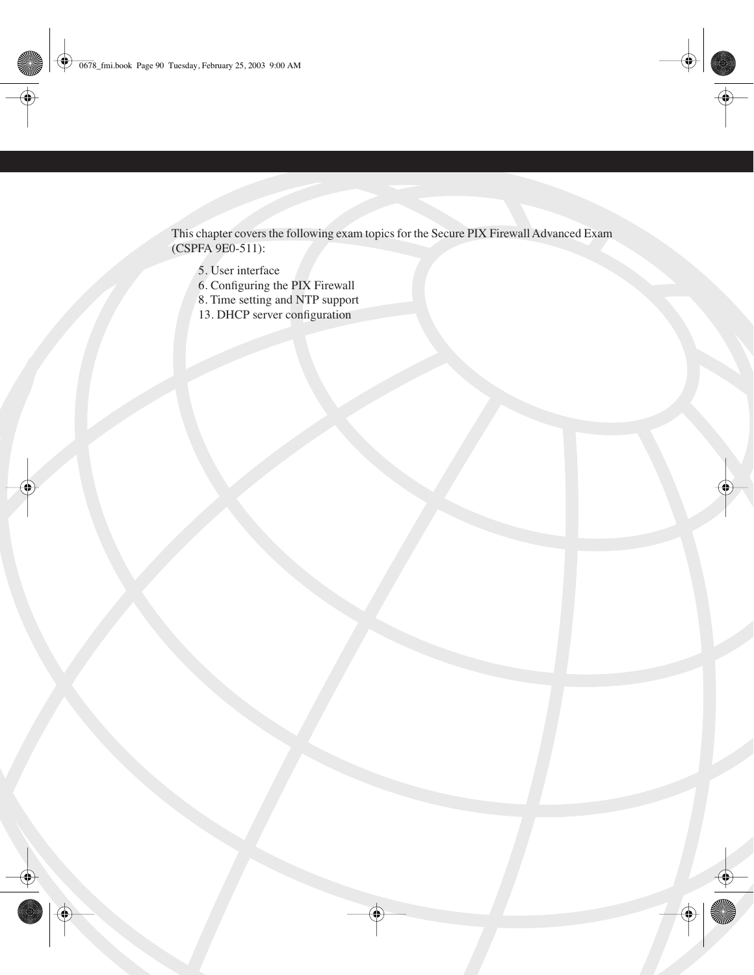This chapter covers the following exam topics for the Secure PIX Firewall Advanced Exam (CSPFA 9E0-511):

- 5. User interface
- 6. Configuring the PIX Firewall
- 8. Time setting and NTP support
- 13. DHCP server configuration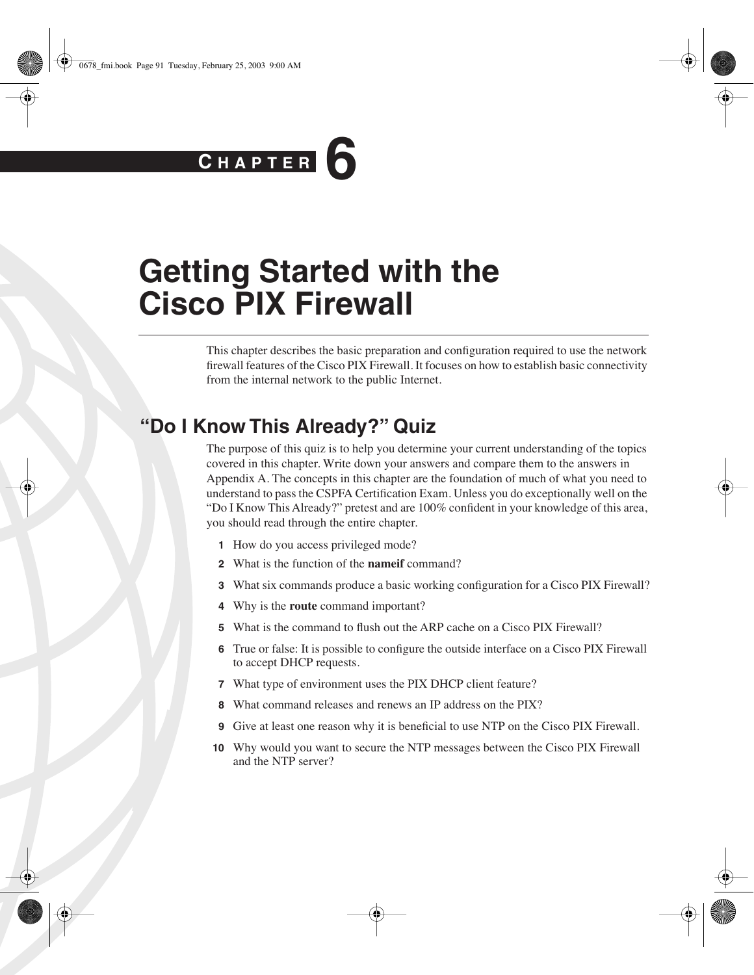# **C H <sup>A</sup> <sup>P</sup> <sup>T</sup> <sup>E</sup> <sup>R</sup> 6**

# **Getting Started with the Cisco PIX Firewall**

This chapter describes the basic preparation and configuration required to use the network firewall features of the Cisco PIX Firewall. It focuses on how to establish basic connectivity from the internal network to the public Internet.

# **"Do I Know This Already?" Quiz**

The purpose of this quiz is to help you determine your current understanding of the topics covered in this chapter. Write down your answers and compare them to the answers in Appendix A. The concepts in this chapter are the foundation of much of what you need to understand to pass the CSPFA Certification Exam. Unless you do exceptionally well on the "Do I Know This Already?" pretest and are 100% confident in your knowledge of this area, you should read through the entire chapter.

- **1** How do you access privileged mode?
- **2** What is the function of the **nameif** command?
- **3** What six commands produce a basic working configuration for a Cisco PIX Firewall?
- **4** Why is the **route** command important?
- **5** What is the command to flush out the ARP cache on a Cisco PIX Firewall?
- **6** True or false: It is possible to configure the outside interface on a Cisco PIX Firewall to accept DHCP requests.
- **7** What type of environment uses the PIX DHCP client feature?
- **8** What command releases and renews an IP address on the PIX?
- **9** Give at least one reason why it is beneficial to use NTP on the Cisco PIX Firewall.
- **10** Why would you want to secure the NTP messages between the Cisco PIX Firewall and the NTP server?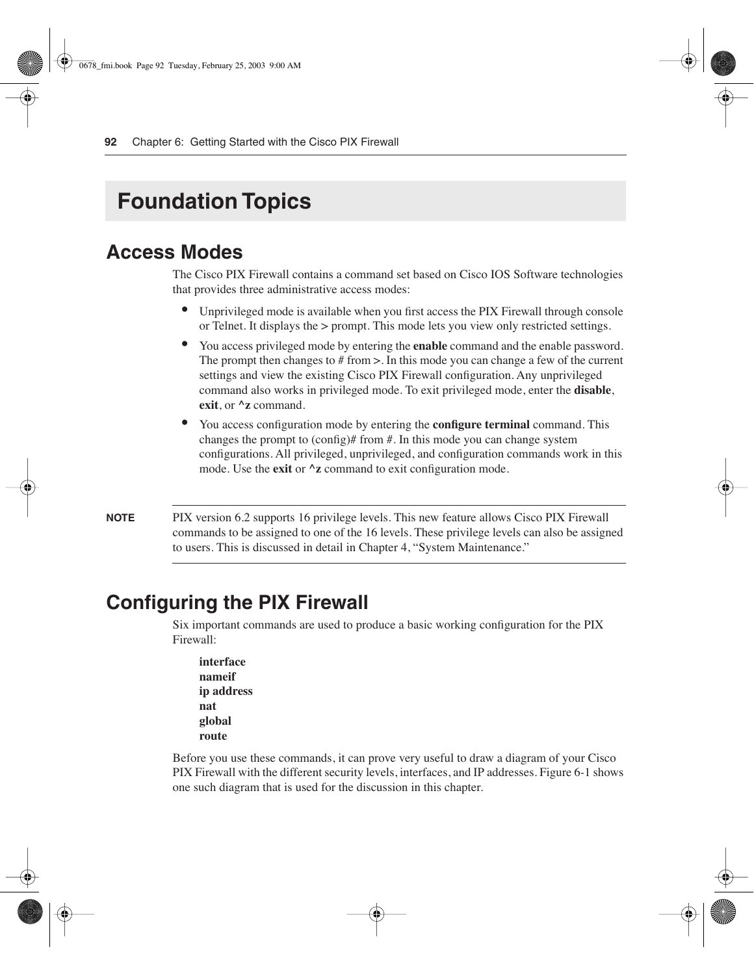# **Foundation Topics**

### **Access Modes**

The Cisco PIX Firewall contains a command set based on Cisco IOS Software technologies that provides three administrative access modes:

- Unprivileged mode is available when you first access the PIX Firewall through console or Telnet. It displays the > prompt. This mode lets you view only restricted settings.
- You access privileged mode by entering the **enable** command and the enable password. The prompt then changes to  $#$  from  $>$ . In this mode you can change a few of the current settings and view the existing Cisco PIX Firewall configuration. Any unprivileged command also works in privileged mode. To exit privileged mode, enter the **disable**, **exit**, or **^z** command.
- You access configuration mode by entering the **configure terminal** command. This changes the prompt to  $(\text{config})\#$  from  $\#$ . In this mode you can change system configurations. All privileged, unprivileged, and configuration commands work in this mode. Use the **exit** or **^z** command to exit configuration mode.

**NOTE** PIX version 6.2 supports 16 privilege levels. This new feature allows Cisco PIX Firewall commands to be assigned to one of the 16 levels. These privilege levels can also be assigned to users. This is discussed in detail in Chapter 4, "System Maintenance."

# **Configuring the PIX Firewall**

Six important commands are used to produce a basic working configuration for the PIX Firewall:

**interface nameif ip address nat global route**

Before you use these commands, it can prove very useful to draw a diagram of your Cisco PIX Firewall with the different security levels, interfaces, and IP addresses. Figure 6-1 shows one such diagram that is used for the discussion in this chapter.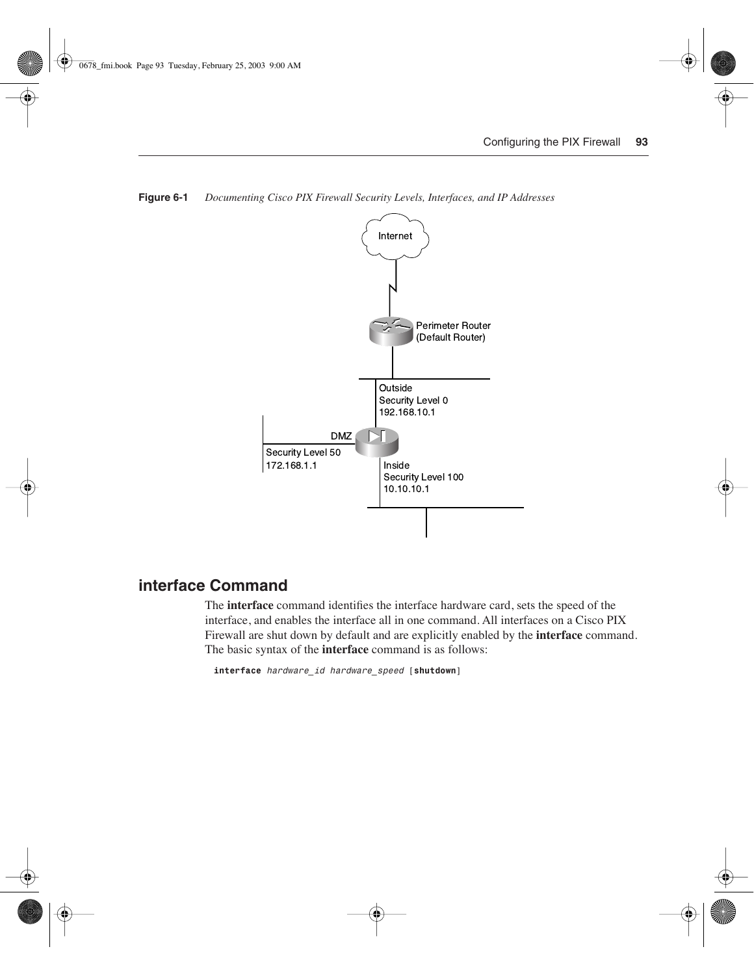

#### **Figure 6-1** *Documenting Cisco PIX Firewall Security Levels, Interfaces, and IP Addresses*

### **interface Command**

The **interface** command identifies the interface hardware card, sets the speed of the interface, and enables the interface all in one command. All interfaces on a Cisco PIX Firewall are shut down by default and are explicitly enabled by the **interface** command. The basic syntax of the **interface** command is as follows:

*interface hardware\_id hardware\_speed [shutdown]*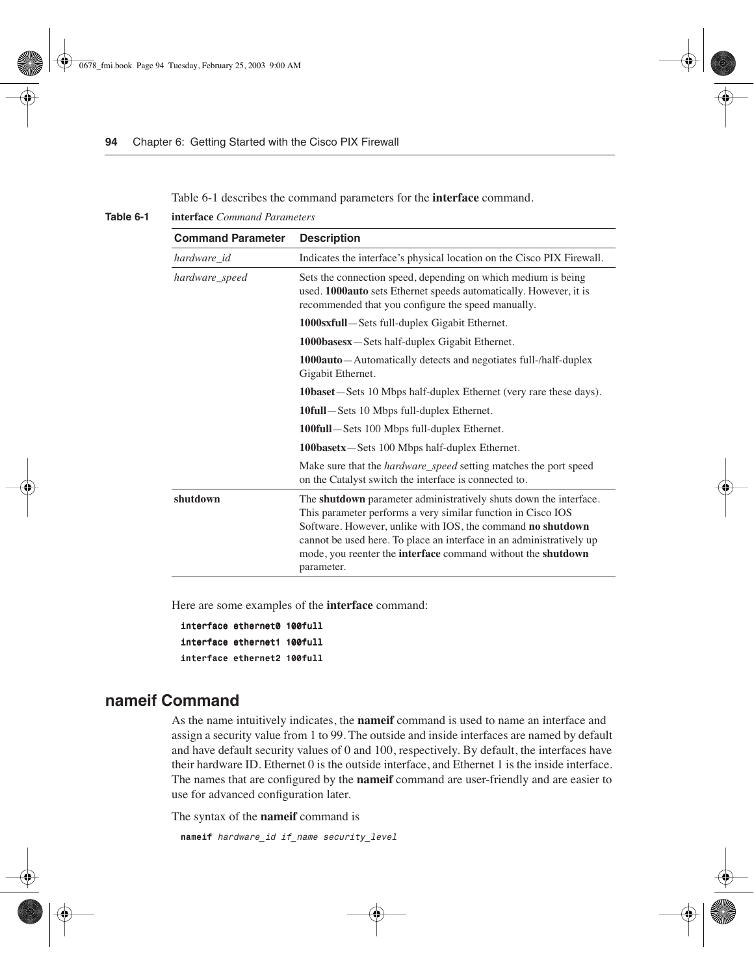Table 6-1 describes the command parameters for the **interface** command.

**Table 6-1 interface** *Command Parameters*

| <b>Command Parameter</b> | <b>Description</b>                                                                                                                                                                                                                                                                                                                                                   |  |
|--------------------------|----------------------------------------------------------------------------------------------------------------------------------------------------------------------------------------------------------------------------------------------------------------------------------------------------------------------------------------------------------------------|--|
| hardware_id              | Indicates the interface's physical location on the Cisco PIX Firewall.                                                                                                                                                                                                                                                                                               |  |
| hardware_speed           | Sets the connection speed, depending on which medium is being<br>used. 1000auto sets Ethernet speeds automatically. However, it is<br>recommended that you configure the speed manually.                                                                                                                                                                             |  |
|                          | <b>1000sxfull</b> —Sets full-duplex Gigabit Ethernet.                                                                                                                                                                                                                                                                                                                |  |
|                          | 1000basesx-Sets half-duplex Gigabit Ethernet.                                                                                                                                                                                                                                                                                                                        |  |
|                          | <b>1000auto</b> —Automatically detects and negotiates full-/half-duplex<br>Gigabit Ethernet.                                                                                                                                                                                                                                                                         |  |
|                          | <b>10baset</b> —Sets 10 Mbps half-duplex Ethernet (very rare these days).                                                                                                                                                                                                                                                                                            |  |
|                          | <b>10full</b> —Sets 10 Mbps full-duplex Ethernet.                                                                                                                                                                                                                                                                                                                    |  |
|                          | <b>100full</b> – Sets 100 Mbps full-duplex Ethernet.                                                                                                                                                                                                                                                                                                                 |  |
|                          | <b>100basetx</b> – Sets 100 Mbps half-duplex Ethernet.                                                                                                                                                                                                                                                                                                               |  |
|                          | Make sure that the <i>hardware_speed</i> setting matches the port speed<br>on the Catalyst switch the interface is connected to.                                                                                                                                                                                                                                     |  |
| shutdown                 | The shutdown parameter administratively shuts down the interface.<br>This parameter performs a very similar function in Cisco IOS<br>Software. However, unlike with IOS, the command no shutdown<br>cannot be used here. To place an interface in an administratively up<br>mode, you reenter the <b>interface</b> command without the <b>shutdown</b><br>parameter. |  |

Here are some examples of the **interface** command:

```
interface ethernet0 100full
interface ethernet1 100full
interface ethernet2 100full
```
#### **nameif Command**

As the name intuitively indicates, the **nameif** command is used to name an interface and assign a security value from 1 to 99. The outside and inside interfaces are named by default and have default security values of 0 and 100, respectively. By default, the interfaces have their hardware ID. Ethernet 0 is the outside interface, and Ethernet 1 is the inside interface. The names that are configured by the **nameif** command are user-friendly and are easier to use for advanced configuration later.

The syntax of the **nameif** command is

*nameif hardware\_id if\_name security\_level*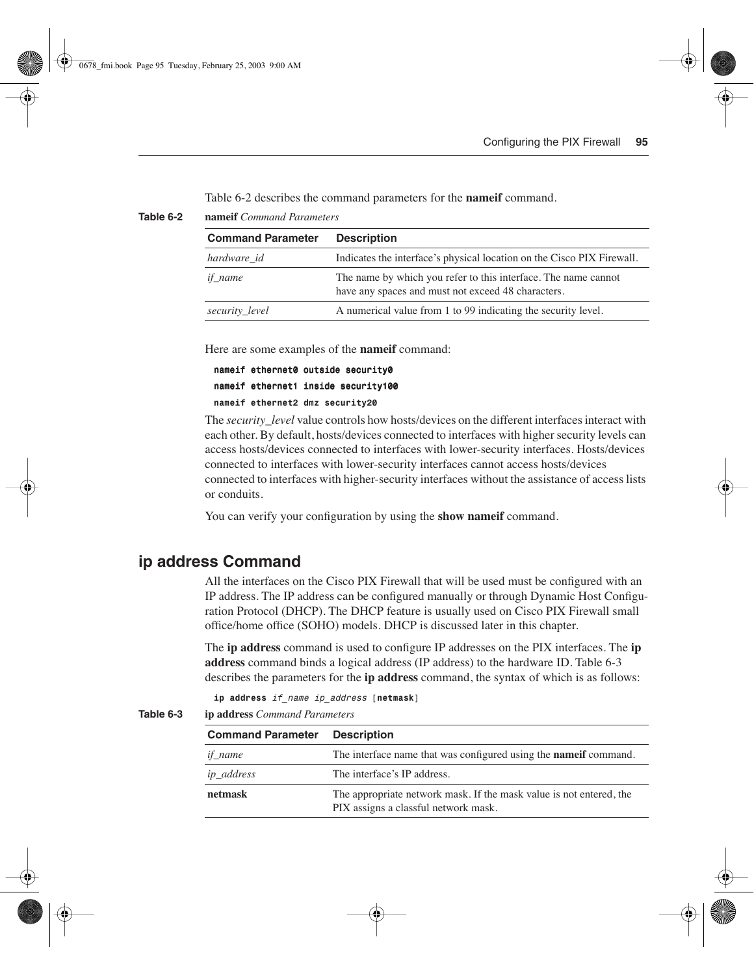Table 6-2 describes the command parameters for the **nameif** command.

**Table 6-2 nameif** *Command Parameters*

| <b>Command Parameter</b> | <b>Description</b>                                                                                                   |
|--------------------------|----------------------------------------------------------------------------------------------------------------------|
| hardware id              | Indicates the interface's physical location on the Cisco PIX Firewall.                                               |
| if_name                  | The name by which you refer to this interface. The name cannot<br>have any spaces and must not exceed 48 characters. |
| security_level           | A numerical value from 1 to 99 indicating the security level.                                                        |

Here are some examples of the **nameif** command:

```
nameif ethernet0 outside security0
nameif ethernet1 inside security100
nameif ethernet2 dmz security20
```
The *security\_level* value controls how hosts/devices on the different interfaces interact with each other. By default, hosts/devices connected to interfaces with higher security levels can access hosts/devices connected to interfaces with lower-security interfaces. Hosts/devices connected to interfaces with lower-security interfaces cannot access hosts/devices connected to interfaces with higher-security interfaces without the assistance of access lists or conduits.

You can verify your configuration by using the **show nameif** command.

#### **ip address Command**

All the interfaces on the Cisco PIX Firewall that will be used must be configured with an IP address. The IP address can be configured manually or through Dynamic Host Configuration Protocol (DHCP). The DHCP feature is usually used on Cisco PIX Firewall small office/home office (SOHO) models. DHCP is discussed later in this chapter.

The **ip address** command is used to configure IP addresses on the PIX interfaces. The **ip address** command binds a logical address (IP address) to the hardware ID. Table 6-3 describes the parameters for the **ip address** command, the syntax of which is as follows:

*ip address if\_name ip\_address [netmask]*

**Table 6-3 ip address** *Command Parameters*

| <b>Command Parameter</b> | <b>Description</b>                                                                                          |  |
|--------------------------|-------------------------------------------------------------------------------------------------------------|--|
| <i>if_name</i>           | The interface name that was configured using the <b>name if</b> command.                                    |  |
| <i>ip_address</i>        | The interface's IP address.                                                                                 |  |
| netmask                  | The appropriate network mask. If the mask value is not entered, the<br>PIX assigns a classful network mask. |  |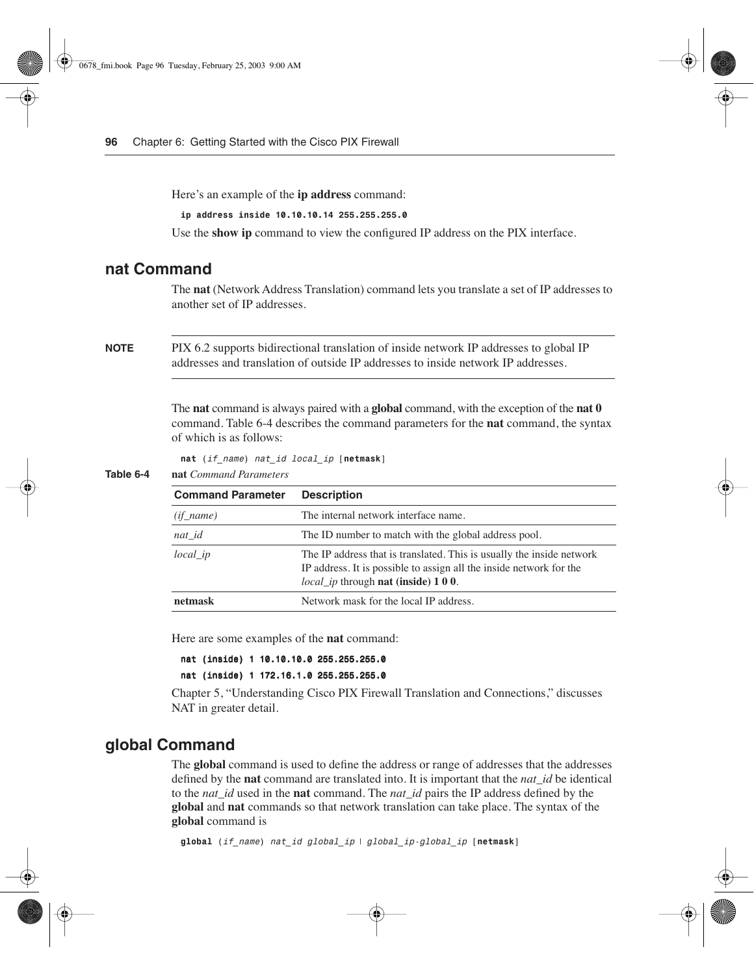Here's an example of the **ip address** command:

```
ip address inside 10.10.10.14 255.255.255.0
```
Use the **show ip** command to view the configured IP address on the PIX interface.

#### **nat Command**

The **nat** (Network Address Translation) command lets you translate a set of IP addresses to another set of IP addresses.

**NOTE** PIX 6.2 supports bidirectional translation of inside network IP addresses to global IP addresses and translation of outside IP addresses to inside network IP addresses.

> The **nat** command is always paired with a **global** command, with the exception of the **nat 0** command. Table 6-4 describes the command parameters for the **nat** command, the syntax of which is as follows:

*nat (if\_name) nat\_id local\_ip [netmask]*

```
Table 6-4 nat Command Parameters
```

| <b>Command Parameter</b> | <b>Description</b>                                                                                                                                                                                      |
|--------------------------|---------------------------------------------------------------------------------------------------------------------------------------------------------------------------------------------------------|
| $(if_name)$              | The internal network interface name.                                                                                                                                                                    |
| nat id                   | The ID number to match with the global address pool.                                                                                                                                                    |
| local ip                 | The IP address that is translated. This is usually the inside network<br>IP address. It is possible to assign all the inside network for the<br><i>local_ip</i> through <b>nat</b> (inside) $1\ 0\ 0$ . |
| netmask                  | Network mask for the local IP address.                                                                                                                                                                  |

Here are some examples of the **nat** command:

```
nat (inside) 1 10.10.10.0 255.255.255.0
nat (inside) 1 172.16.1.0 255.255.255.0
```
Chapter 5, "Understanding Cisco PIX Firewall Translation and Connections," discusses NAT in greater detail.

#### **global Command**

The **global** command is used to define the address or range of addresses that the addresses defined by the **nat** command are translated into. It is important that the *nat\_id* be identical to the *nat\_id* used in the **nat** command. The *nat\_id* pairs the IP address defined by the **global** and **nat** commands so that network translation can take place. The syntax of the **global** command is

*global (if\_name) nat\_id global\_ip* | *global\_ip-global\_ip [netmask]*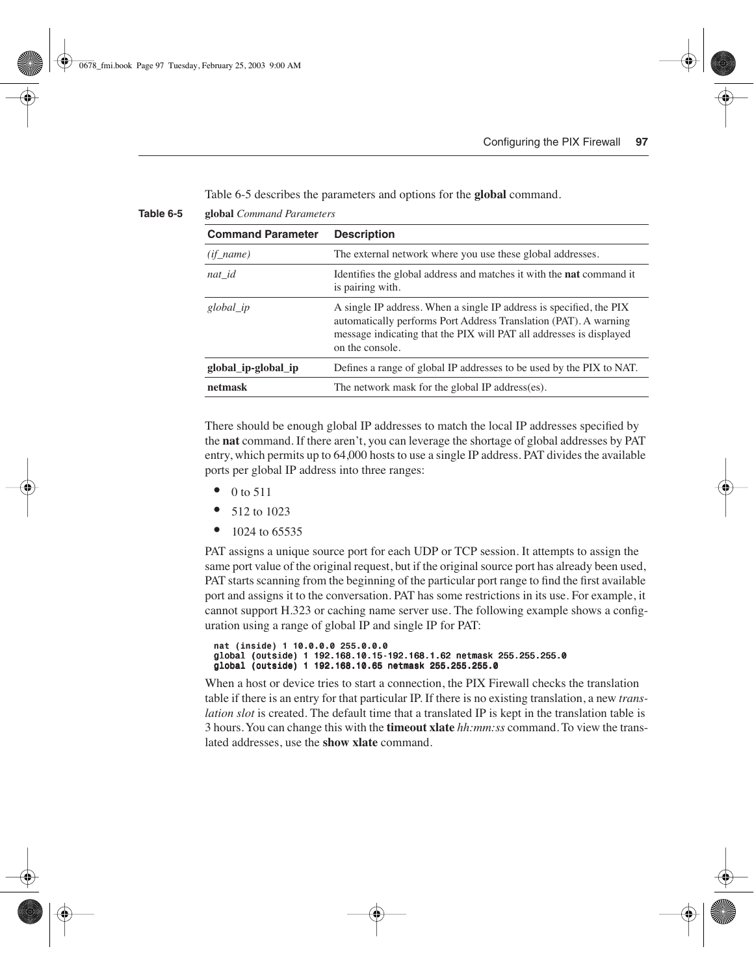Table 6-5 describes the parameters and options for the **global** command.

**Table 6-5 global** *Command Parameters*

| <b>Command Parameter</b> | <b>Description</b>                                                                                                                                                                                                                |
|--------------------------|-----------------------------------------------------------------------------------------------------------------------------------------------------------------------------------------------------------------------------------|
| $(if\_name)$             | The external network where you use these global addresses.                                                                                                                                                                        |
| nat_id                   | Identifies the global address and matches it with the <b>nat</b> command it<br>is pairing with.                                                                                                                                   |
| global_ip                | A single IP address. When a single IP address is specified, the PIX<br>automatically performs Port Address Translation (PAT). A warning<br>message indicating that the PIX will PAT all addresses is displayed<br>on the console. |
| global ip-global ip      | Defines a range of global IP addresses to be used by the PIX to NAT.                                                                                                                                                              |
| netmask                  | The network mask for the global IP address(es).                                                                                                                                                                                   |

There should be enough global IP addresses to match the local IP addresses specified by the **nat** command. If there aren't, you can leverage the shortage of global addresses by PAT entry, which permits up to 64,000 hosts to use a single IP address. PAT divides the available ports per global IP address into three ranges:

- $\bullet$  0 to 511
- 512 to 1023
- 1024 to 65535

PAT assigns a unique source port for each UDP or TCP session. It attempts to assign the same port value of the original request, but if the original source port has already been used, PAT starts scanning from the beginning of the particular port range to find the first available port and assigns it to the conversation. PAT has some restrictions in its use. For example, it cannot support H.323 or caching name server use. The following example shows a configuration using a range of global IP and single IP for PAT:

```
nat (inside) 1 10.0.0.0 255.0.0.0
global (outside) 1 192.168.10.15-192.168.1.62 netmask 255.255.255.0
global (outside) 1 192.168.10.65 netmask 255.255.255.0
```
When a host or device tries to start a connection, the PIX Firewall checks the translation table if there is an entry for that particular IP. If there is no existing translation, a new *translation slot* is created. The default time that a translated IP is kept in the translation table is 3 hours. You can change this with the **timeout xlate** *hh:mm:ss* command. To view the translated addresses, use the **show xlate** command.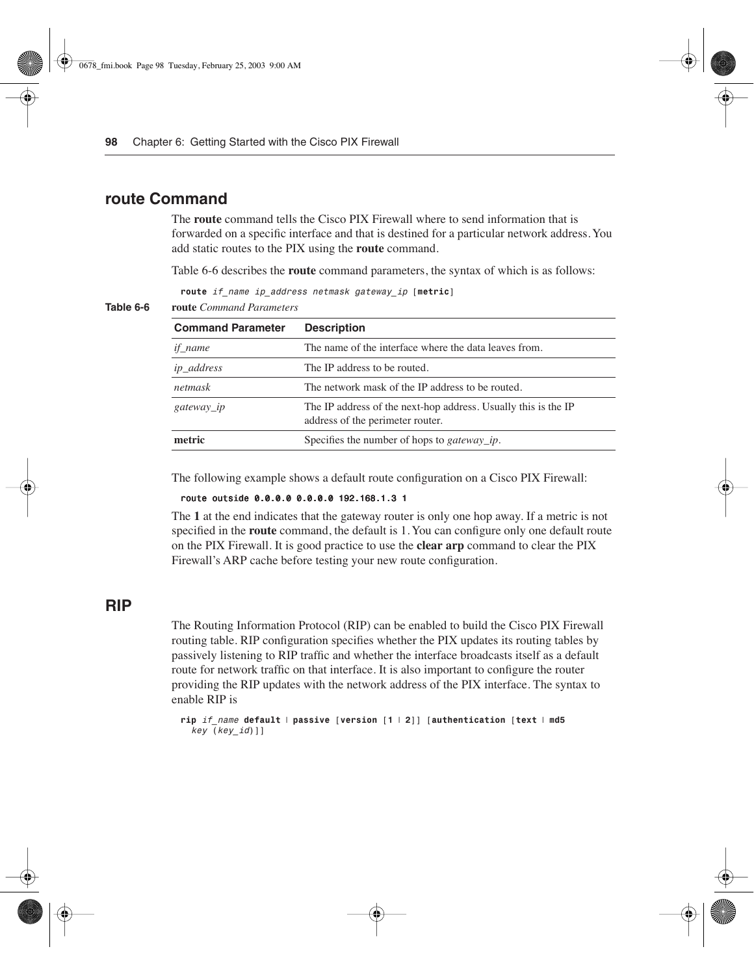#### **route Command**

The **route** command tells the Cisco PIX Firewall where to send information that is forwarded on a specific interface and that is destined for a particular network address. You add static routes to the PIX using the **route** command.

Table 6-6 describes the **route** command parameters, the syntax of which is as follows:

*route if\_name ip\_address netmask gateway\_ip [metric]*

**Table 6-6 route** *Command Parameters*

| <b>Command Parameter</b> | <b>Description</b><br>The name of the interface where the data leaves from.                        |  |
|--------------------------|----------------------------------------------------------------------------------------------------|--|
| <i>if_name</i>           |                                                                                                    |  |
| ip_address               | The IP address to be routed.                                                                       |  |
| netmask                  | The network mask of the IP address to be routed.                                                   |  |
| gateway_ip               | The IP address of the next-hop address. Usually this is the IP<br>address of the perimeter router. |  |
| metric                   | Specifies the number of hops to <i>gateway_ip</i> .                                                |  |
|                          |                                                                                                    |  |

The following example shows a default route configuration on a Cisco PIX Firewall:

#### *route outside 0.0.0.0 0.0.0.0 192.168.1.3 1*

The **1** at the end indicates that the gateway router is only one hop away. If a metric is not specified in the **route** command, the default is 1. You can configure only one default route on the PIX Firewall. It is good practice to use the **clear arp** command to clear the PIX Firewall's ARP cache before testing your new route configuration.

#### **RIP**

The Routing Information Protocol (RIP) can be enabled to build the Cisco PIX Firewall routing table. RIP configuration specifies whether the PIX updates its routing tables by passively listening to RIP traffic and whether the interface broadcasts itself as a default route for network traffic on that interface. It is also important to configure the router providing the RIP updates with the network address of the PIX interface. The syntax to enable RIP is

```
rip if_name default | passive [version [1 | 2]] [authentication [text | md5
 key (key_id)]]
```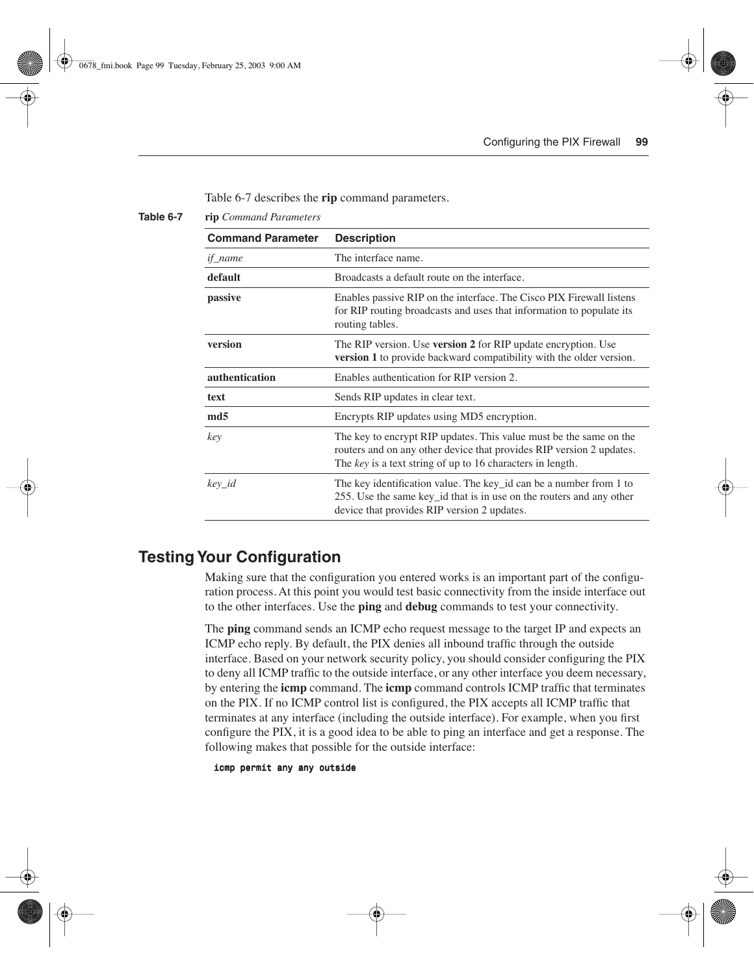Table 6-7 describes the **rip** command parameters.

**Table 6-7 rip** *Command Parameters*

| <b>Command Parameter</b> | <b>Description</b>                                                                                                                                                                                       |
|--------------------------|----------------------------------------------------------------------------------------------------------------------------------------------------------------------------------------------------------|
| if_name                  | The interface name.                                                                                                                                                                                      |
| default                  | Broadcasts a default route on the interface.                                                                                                                                                             |
| passive                  | Enables passive RIP on the interface. The Cisco PIX Firewall listens<br>for RIP routing broadcasts and uses that information to populate its<br>routing tables.                                          |
| version                  | The RIP version. Use <b>version 2</b> for RIP update encryption. Use<br><b>version 1</b> to provide backward compatibility with the older version.                                                       |
| authentication           | Enables authentication for RIP version 2.                                                                                                                                                                |
| text                     | Sends RIP updates in clear text.                                                                                                                                                                         |
| md <sub>5</sub>          | Encrypts RIP updates using MD5 encryption.                                                                                                                                                               |
| key                      | The key to encrypt RIP updates. This value must be the same on the<br>routers and on any other device that provides RIP version 2 updates.<br>The key is a text string of up to 16 characters in length. |
| $key\_id$                | The key identification value. The key id can be a number from 1 to<br>255. Use the same key_id that is in use on the routers and any other<br>device that provides RIP version 2 updates.                |

#### **Testing Your Configuration**

Making sure that the configuration you entered works is an important part of the configuration process. At this point you would test basic connectivity from the inside interface out to the other interfaces. Use the **ping** and **debug** commands to test your connectivity.

The **ping** command sends an ICMP echo request message to the target IP and expects an ICMP echo reply. By default, the PIX denies all inbound traffic through the outside interface. Based on your network security policy, you should consider configuring the PIX to deny all ICMP traffic to the outside interface, or any other interface you deem necessary, by entering the **icmp** command. The **icmp** command controls ICMP traffic that terminates on the PIX. If no ICMP control list is configured, the PIX accepts all ICMP traffic that terminates at any interface (including the outside interface). For example, when you first configure the PIX, it is a good idea to be able to ping an interface and get a response. The following makes that possible for the outside interface:

#### *icmp permit any any outside*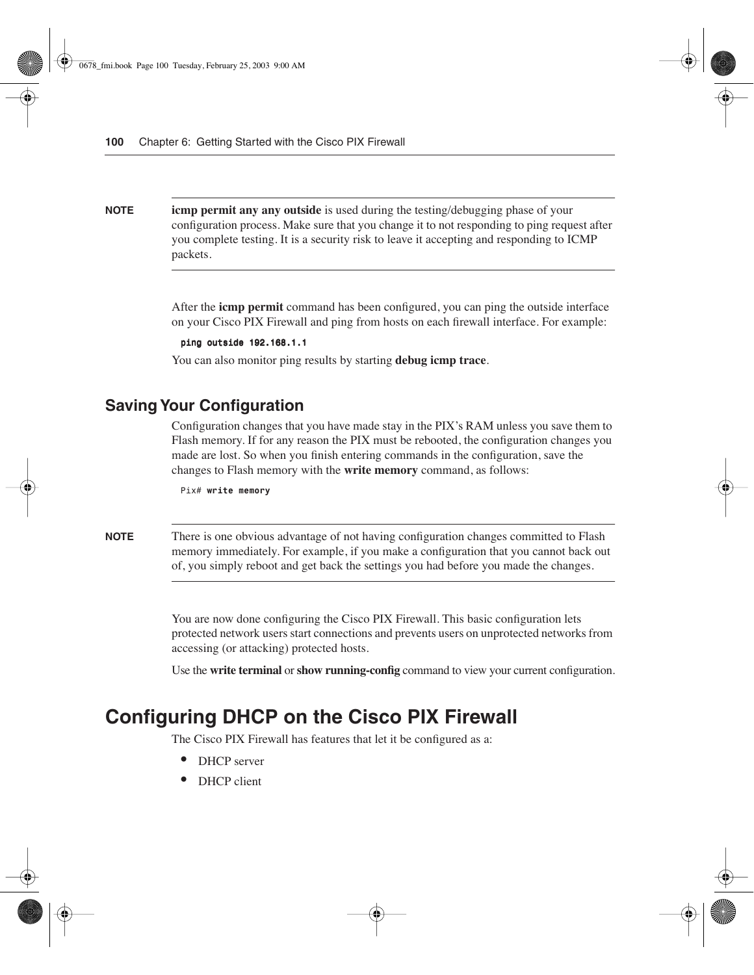**NOTE icmp permit any any outside** is used during the testing/debugging phase of your configuration process. Make sure that you change it to not responding to ping request after you complete testing. It is a security risk to leave it accepting and responding to ICMP packets.

> After the **icmp permit** command has been configured, you can ping the outside interface on your Cisco PIX Firewall and ping from hosts on each firewall interface. For example:

```
ping outside 192.168.1.1
```
You can also monitor ping results by starting **debug icmp trace**.

#### **Saving Your Configuration**

Configuration changes that you have made stay in the PIX's RAM unless you save them to Flash memory. If for any reason the PIX must be rebooted, the configuration changes you made are lost. So when you finish entering commands in the configuration, save the changes to Flash memory with the **write memory** command, as follows:

#### *Pix# write memory*

**NOTE** There is one obvious advantage of not having configuration changes committed to Flash memory immediately. For example, if you make a configuration that you cannot back out of, you simply reboot and get back the settings you had before you made the changes.

> You are now done configuring the Cisco PIX Firewall. This basic configuration lets protected network users start connections and prevents users on unprotected networks from accessing (or attacking) protected hosts.

> Use the **write terminal** or **show running-config** command to view your current configuration.

# **Configuring DHCP on the Cisco PIX Firewall**

The Cisco PIX Firewall has features that let it be configured as a:

- DHCP server
- DHCP client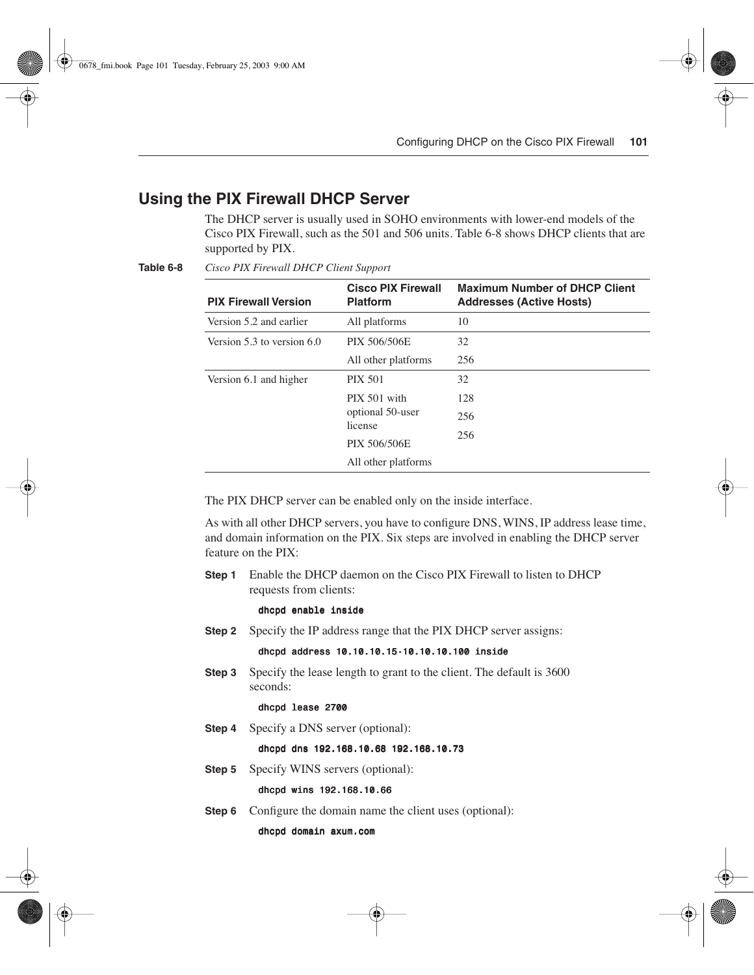#### **Using the PIX Firewall DHCP Server**

The DHCP server is usually used in SOHO environments with lower-end models of the Cisco PIX Firewall, such as the 501 and 506 units. Table 6-8 shows DHCP clients that are supported by PIX.

**Table 6-8** *Cisco PIX Firewall DHCP Client Support*

| <b>PIX Firewall Version</b>    | <b>Cisco PIX Firewall</b><br><b>Platform</b> | <b>Maximum Number of DHCP Client</b><br><b>Addresses (Active Hosts)</b> |
|--------------------------------|----------------------------------------------|-------------------------------------------------------------------------|
| Version 5.2 and earlier        | All platforms                                | 10                                                                      |
| Version $5.3$ to version $6.0$ | PIX 506/506E                                 | 32                                                                      |
|                                | All other platforms                          | 256                                                                     |
| Version 6.1 and higher         | <b>PIX 501</b>                               | 32                                                                      |
|                                | PIX 501 with                                 | 128                                                                     |
|                                | optional 50-user<br>license                  | 256                                                                     |
|                                | PIX 506/506E                                 | 256                                                                     |
|                                | All other platforms                          |                                                                         |

The PIX DHCP server can be enabled only on the inside interface.

As with all other DHCP servers, you have to configure DNS, WINS, IP address lease time, and domain information on the PIX. Six steps are involved in enabling the DHCP server feature on the PIX:

**Step 1** Enable the DHCP daemon on the Cisco PIX Firewall to listen to DHCP requests from clients:

#### *dhcpd enable inside*

**Step 2** Specify the IP address range that the PIX DHCP server assigns:

*dhcpd address 10.10.10.15-10.10.10.100 inside*

**Step 3** Specify the lease length to grant to the client. The default is 3600 seconds:

#### *dhcpd lease 2700*

**Step 4** Specify a DNS server (optional):

*dhcpd dns 192.168.10.68 192.168.10.73*

**Step 5** Specify WINS servers (optional):

*dhcpd wins 192.168.10.66*

**Step 6** Configure the domain name the client uses (optional):

*dhcpd domain axum.com*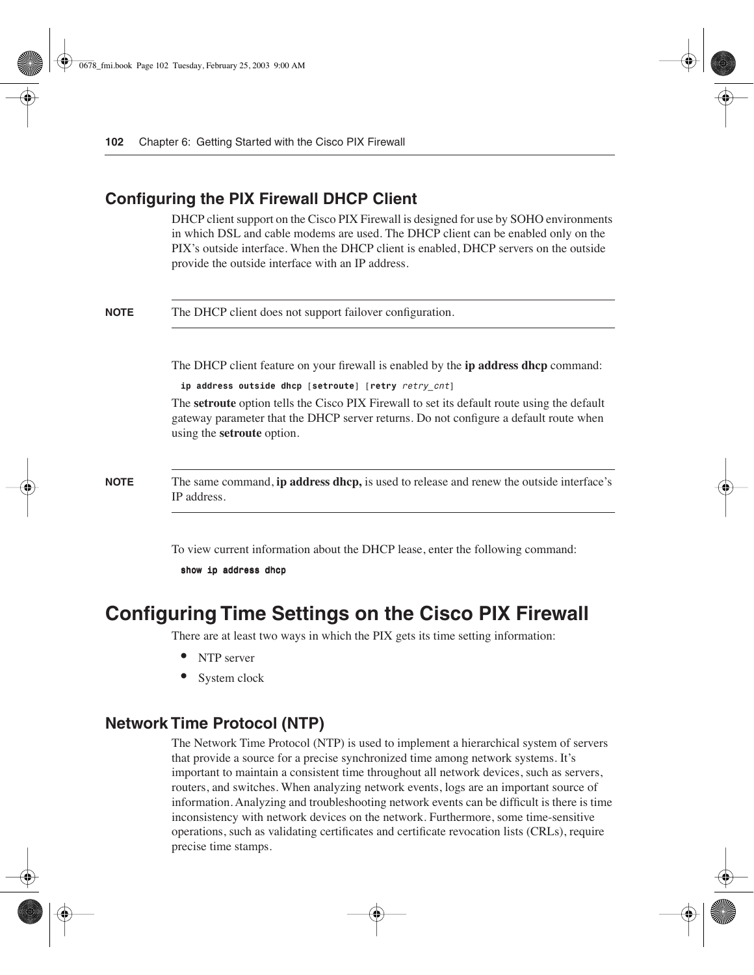**Configuring the PIX Firewall DHCP Client**

|      | DHCP client support on the Cisco PIX Firewall is designed for use by SOHO environments<br>in which DSL and cable modems are used. The DHCP client can be enabled only on the<br>PIX's outside interface. When the DHCP client is enabled, DHCP servers on the outside<br>provide the outside interface with an IP address.                                                             |
|------|----------------------------------------------------------------------------------------------------------------------------------------------------------------------------------------------------------------------------------------------------------------------------------------------------------------------------------------------------------------------------------------|
| NOTE | The DHCP client does not support failover configuration.                                                                                                                                                                                                                                                                                                                               |
|      | The DHCP client feature on your firewall is enabled by the <b>ip address dhcp</b> command:<br>ip address outside dhcp [setroute] [retry retry cnt]<br>The <b>setroute</b> option tells the Cisco PIX Firewall to set its default route using the default<br>gateway parameter that the DHCP server returns. Do not configure a default route when<br>using the <b>setroute</b> option. |
| NOTE | The same command, ip address dhcp, is used to release and renew the outside interface's<br>IP address.                                                                                                                                                                                                                                                                                 |

To view current information about the DHCP lease, enter the following command:

*show ip address dhcp*

# **Configuring Time Settings on the Cisco PIX Firewall**

There are at least two ways in which the PIX gets its time setting information:

- NTP server
- System clock

#### **Network Time Protocol (NTP)**

The Network Time Protocol (NTP) is used to implement a hierarchical system of servers that provide a source for a precise synchronized time among network systems. It's important to maintain a consistent time throughout all network devices, such as servers, routers, and switches. When analyzing network events, logs are an important source of information. Analyzing and troubleshooting network events can be difficult is there is time inconsistency with network devices on the network. Furthermore, some time-sensitive operations, such as validating certificates and certificate revocation lists (CRLs), require precise time stamps.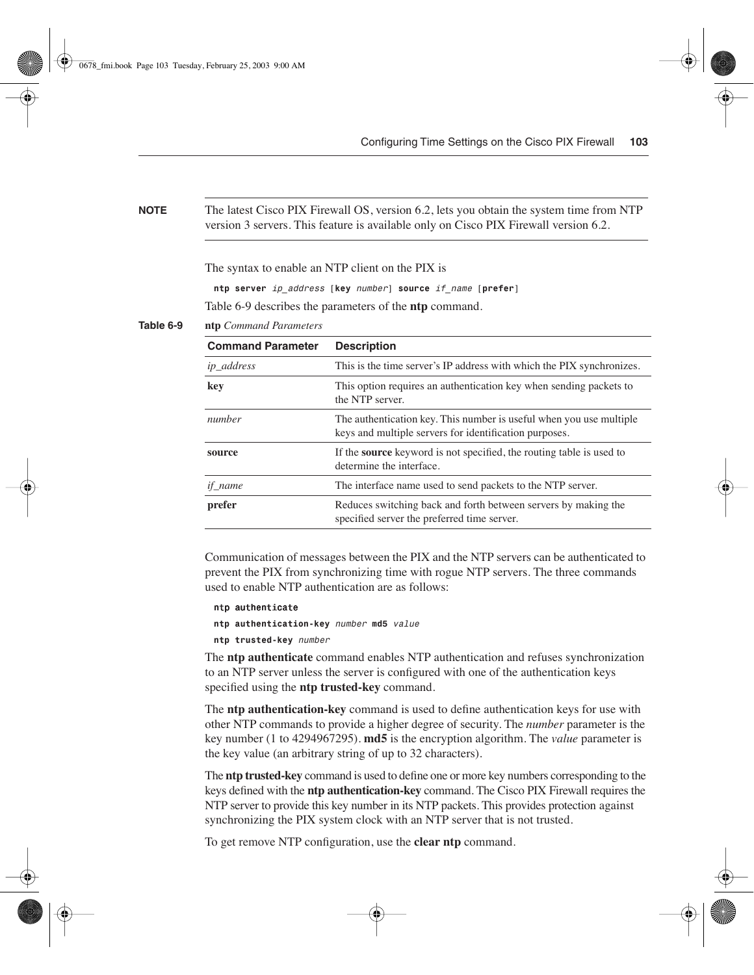**NOTE** The latest Cisco PIX Firewall OS, version 6.2, lets you obtain the system time from NTP version 3 servers. This feature is available only on Cisco PIX Firewall version 6.2.

The syntax to enable an NTP client on the PIX is

*ntp server ip\_address [key number] source if\_name [prefer]*

Table 6-9 describes the parameters of the **ntp** command.

**Table 6-9 ntp** *Command Parameters*

| <b>Command Parameter</b> | <b>Description</b>                                                                                                            |
|--------------------------|-------------------------------------------------------------------------------------------------------------------------------|
| ip_address               | This is the time server's IP address with which the PIX synchronizes.                                                         |
| key                      | This option requires an authentication key when sending packets to<br>the NTP server.                                         |
| number                   | The authentication key. This number is useful when you use multiple<br>keys and multiple servers for identification purposes. |
| source                   | If the <b>source</b> keyword is not specified, the routing table is used to<br>determine the interface.                       |
| if_name                  | The interface name used to send packets to the NTP server.                                                                    |
| prefer                   | Reduces switching back and forth between servers by making the<br>specified server the preferred time server.                 |

Communication of messages between the PIX and the NTP servers can be authenticated to prevent the PIX from synchronizing time with rogue NTP servers. The three commands used to enable NTP authentication are as follows:

```
ntp authenticate
```
*ntp authentication-key number md5 value*

*ntp trusted-key number*

The **ntp authenticate** command enables NTP authentication and refuses synchronization to an NTP server unless the server is configured with one of the authentication keys specified using the **ntp trusted-key** command.

The **ntp authentication-key** command is used to define authentication keys for use with other NTP commands to provide a higher degree of security. The *number* parameter is the key number (1 to 4294967295). **md5** is the encryption algorithm. The *value* parameter is the key value (an arbitrary string of up to 32 characters).

The **ntp trusted-key** command is used to define one or more key numbers corresponding to the keys defined with the **ntp authentication-key** command. The Cisco PIX Firewall requires the NTP server to provide this key number in its NTP packets. This provides protection against synchronizing the PIX system clock with an NTP server that is not trusted.

To get remove NTP configuration, use the **clear ntp** command.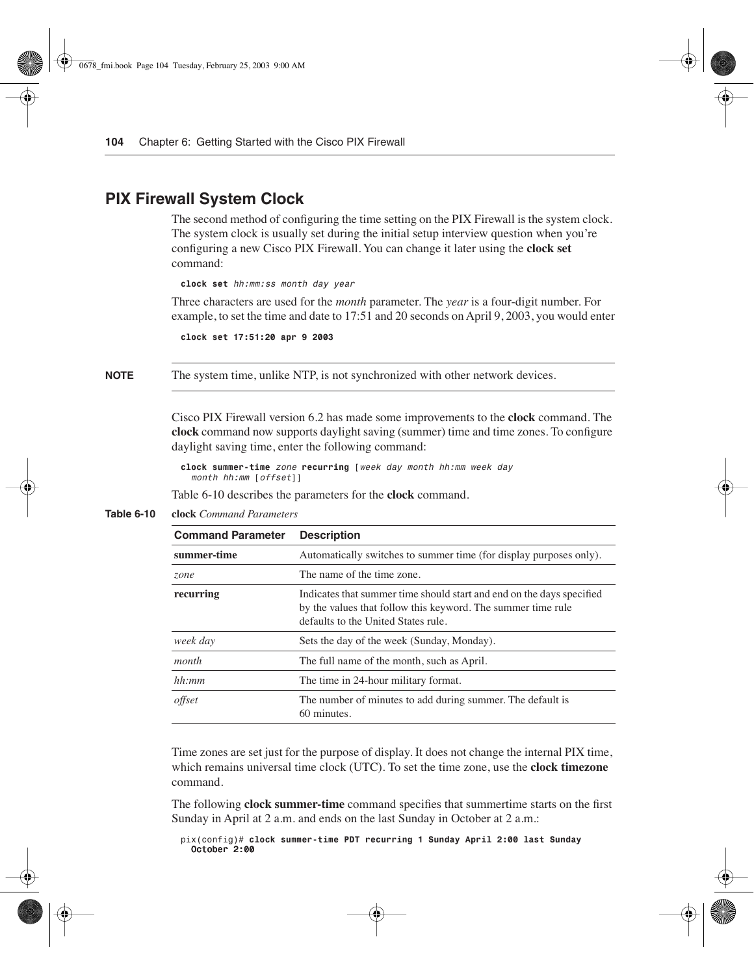#### **PIX Firewall System Clock**

The second method of configuring the time setting on the PIX Firewall is the system clock. The system clock is usually set during the initial setup interview question when you're configuring a new Cisco PIX Firewall. You can change it later using the **clock set** command:

*clock set hh:mm:ss month day year*

Three characters are used for the *month* parameter. The *year* is a four-digit number. For example, to set the time and date to 17:51 and 20 seconds on April 9, 2003, you would enter

```
clock set 17:51:20 apr 9 2003
```
**NOTE** The system time, unlike NTP, is not synchronized with other network devices.

Cisco PIX Firewall version 6.2 has made some improvements to the **clock** command. The **clock** command now supports daylight saving (summer) time and time zones. To configure daylight saving time, enter the following command:

*clock summer-time zone recurring [week day month hh:mm week day month hh:mm [offset]]*

Table 6-10 describes the parameters for the **clock** command.

**Table 6-10 clock** *Command Parameters*

| <b>Command Parameter</b> | <b>Description</b>                                                                                                                                                           |  |
|--------------------------|------------------------------------------------------------------------------------------------------------------------------------------------------------------------------|--|
| summer-time              | Automatically switches to summer time (for display purposes only).                                                                                                           |  |
| zone                     | The name of the time zone.                                                                                                                                                   |  |
| recurring                | Indicates that summer time should start and end on the days specified<br>by the values that follow this keyword. The summer time rule<br>defaults to the United States rule. |  |
| week day                 | Sets the day of the week (Sunday, Monday).                                                                                                                                   |  |
| month                    | The full name of the month, such as April.                                                                                                                                   |  |
| hh:mm                    | The time in 24-hour military format.                                                                                                                                         |  |
| offset                   | The number of minutes to add during summer. The default is<br>60 minutes.                                                                                                    |  |

Time zones are set just for the purpose of display. It does not change the internal PIX time, which remains universal time clock (UTC). To set the time zone, use the **clock timezone**  command.

The following **clock summer-time** command specifies that summertime starts on the first Sunday in April at 2 a.m. and ends on the last Sunday in October at 2 a.m.:

*pix(config)# clock summer-time PDT recurring 1 Sunday April 2:00 last Sunday October 2:00*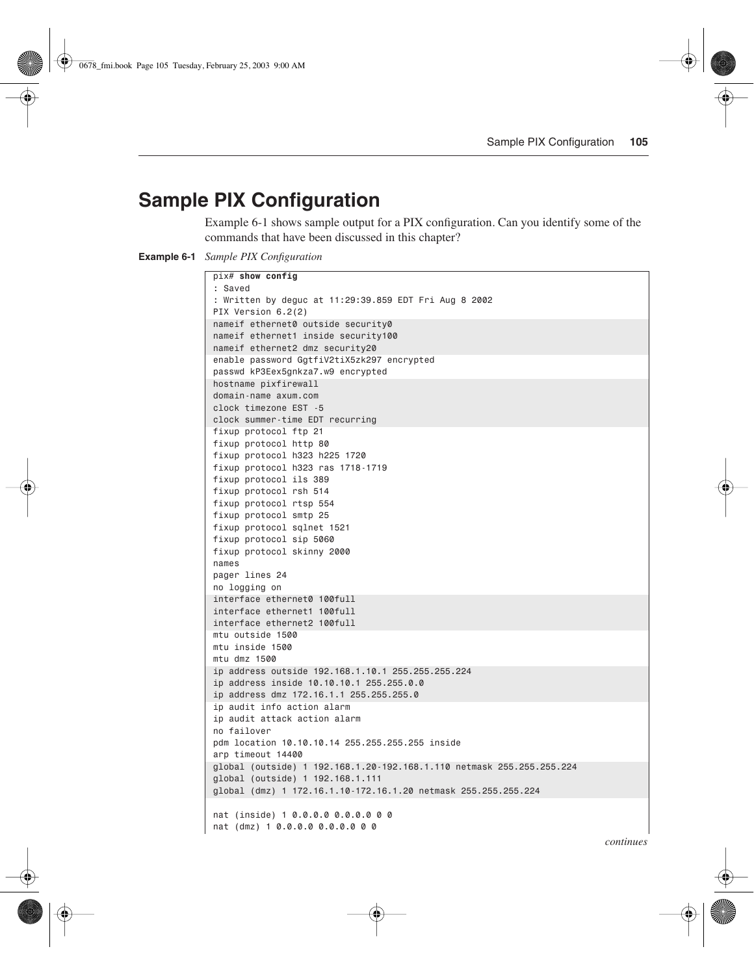# **Sample PIX Configuration**

Example 6-1 shows sample output for a PIX configuration. Can you identify some of the commands that have been discussed in this chapter?

**Example 6-1** *Sample PIX Configuration* 

```
pix# show config
: Saved
: Written by deguc at 11:29:39.859 EDT Fri Aug 8 2002
PIX Version 6.2(2)
nameif ethernet0 outside security0
nameif ethernet1 inside security100
nameif ethernet2 dmz security20
enable password GgtfiV2tiX5zk297 encrypted
passwd kP3Eex5gnkza7.w9 encrypted
hostname pixfirewall
domain-name axum.com
clock timezone EST -5
clock summer-time EDT recurring
fixup protocol ftp 21
fixup protocol http 80
fixup protocol h323 h225 1720
fixup protocol h323 ras 1718-1719
fixup protocol ils 389
fixup protocol rsh 514
fixup protocol rtsp 554
fixup protocol smtp 25
fixup protocol sqlnet 1521
fixup protocol sip 5060
fixup protocol skinny 2000
names
pager lines 24
no logging on
interface ethernet0 100full
interface ethernet1 100full
interface ethernet2 100full
mtu outside 1500
mtu inside 1500
mtu dmz 1500
ip address outside 192.168.1.10.1 255.255.255.224
ip address inside 10.10.10.1 255.255.0.0
ip address dmz 172.16.1.1 255.255.255.0
ip audit info action alarm
ip audit attack action alarm
no failover
pdm location 10.10.10.14 255.255.255.255 inside
arp timeout 14400
global (outside) 1 192.168.1.20-192.168.1.110 netmask 255.255.255.224
global (outside) 1 192.168.1.111
global (dmz) 1 172.16.1.10-172.16.1.20 netmask 255.255.255.224
nat (inside) 1 0.0.0.0 0.0.0.0 0 0
```

```
nat (dmz) 1 0.0.0.0 0.0.0.0 0 0
```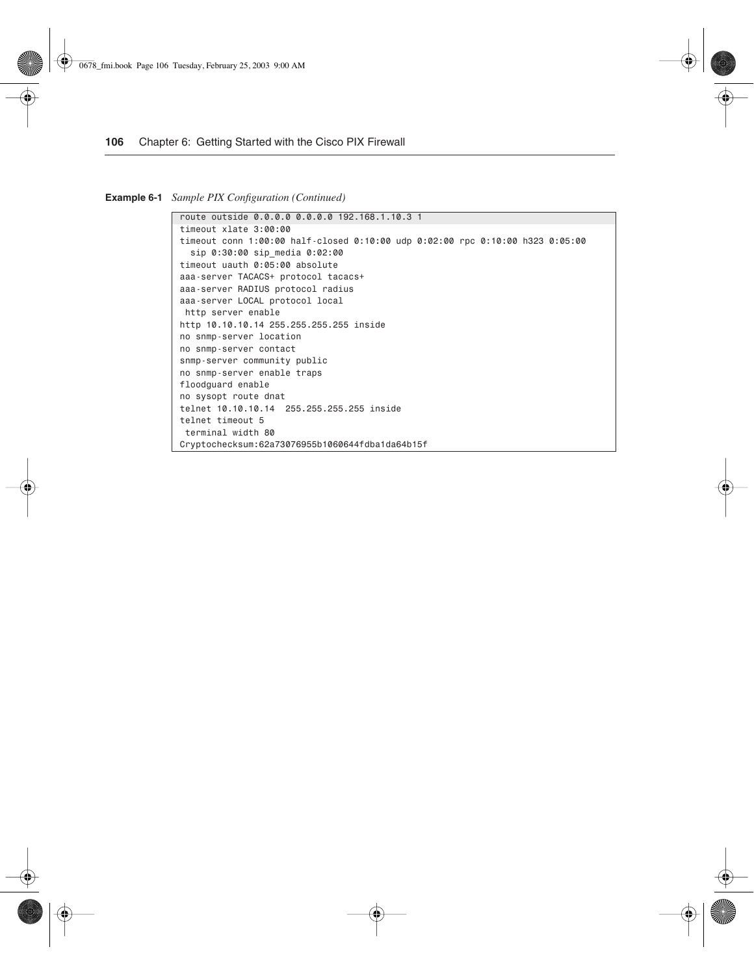**Example 6-1** *Sample PIX Configuration (Continued)*

```
route outside 0.0.0.0 0.0.0.0 192.168.1.10.3 1
timeout xlate 3:00:00
timeout conn 1:00:00 half-closed 0:10:00 udp 0:02:00 rpc 0:10:00 h323 0:05:00
  sip 0:30:00 sip_media 0:02:00
timeout uauth 0:05:00 absolute
aaa-server TACACS+ protocol tacacs+
aaa-server RADIUS protocol radius
aaa-server LOCAL protocol local
 http server enable
http 10.10.10.14 255.255.255.255 inside
no snmp-server location
no snmp-server contact
snmp-server community public
no snmp-server enable traps
floodguard enable
no sysopt route dnat
telnet 10.10.10.14 255.255.255.255 inside
telnet timeout 5
  terminal width 80
Cryptochecksum:62a73076955b1060644fdba1da64b15f
```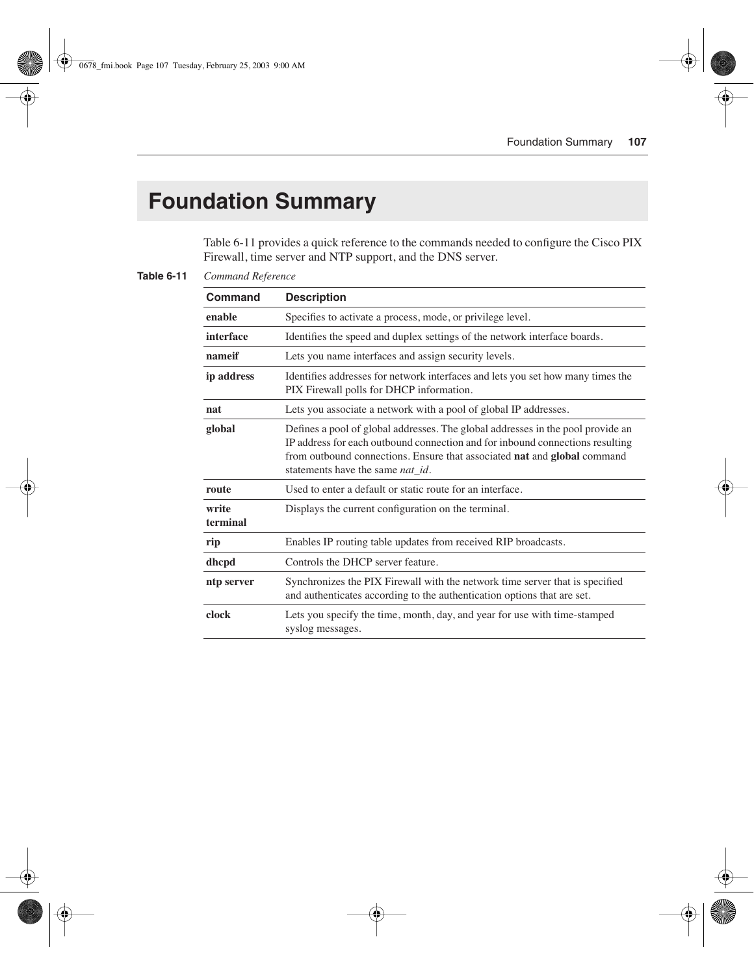# **Foundation Summary**

Table 6-11 provides a quick reference to the commands needed to configure the Cisco PIX Firewall, time server and NTP support, and the DNS server.

**Table 6-11** *Command Reference*

| <b>Command</b>    | <b>Description</b>                                                                                                                                                                                                                                                                       |
|-------------------|------------------------------------------------------------------------------------------------------------------------------------------------------------------------------------------------------------------------------------------------------------------------------------------|
| enable            | Specifies to activate a process, mode, or privilege level.                                                                                                                                                                                                                               |
| interface         | Identifies the speed and duplex settings of the network interface boards.                                                                                                                                                                                                                |
| nameif            | Lets you name interfaces and assign security levels.                                                                                                                                                                                                                                     |
| ip address        | Identifies addresses for network interfaces and lets you set how many times the<br>PIX Firewall polls for DHCP information.                                                                                                                                                              |
| nat               | Lets you associate a network with a pool of global IP addresses.                                                                                                                                                                                                                         |
| global            | Defines a pool of global addresses. The global addresses in the pool provide an<br>IP address for each outbound connection and for inbound connections resulting<br>from outbound connections. Ensure that associated nat and global command<br>statements have the same <i>nat_id</i> . |
| route             | Used to enter a default or static route for an interface.                                                                                                                                                                                                                                |
| write<br>terminal | Displays the current configuration on the terminal.                                                                                                                                                                                                                                      |
| rip               | Enables IP routing table updates from received RIP broadcasts.                                                                                                                                                                                                                           |
| dhcpd             | Controls the DHCP server feature.                                                                                                                                                                                                                                                        |
| ntp server        | Synchronizes the PIX Firewall with the network time server that is specified<br>and authenticates according to the authentication options that are set.                                                                                                                                  |
| clock             | Lets you specify the time, month, day, and year for use with time-stamped<br>syslog messages.                                                                                                                                                                                            |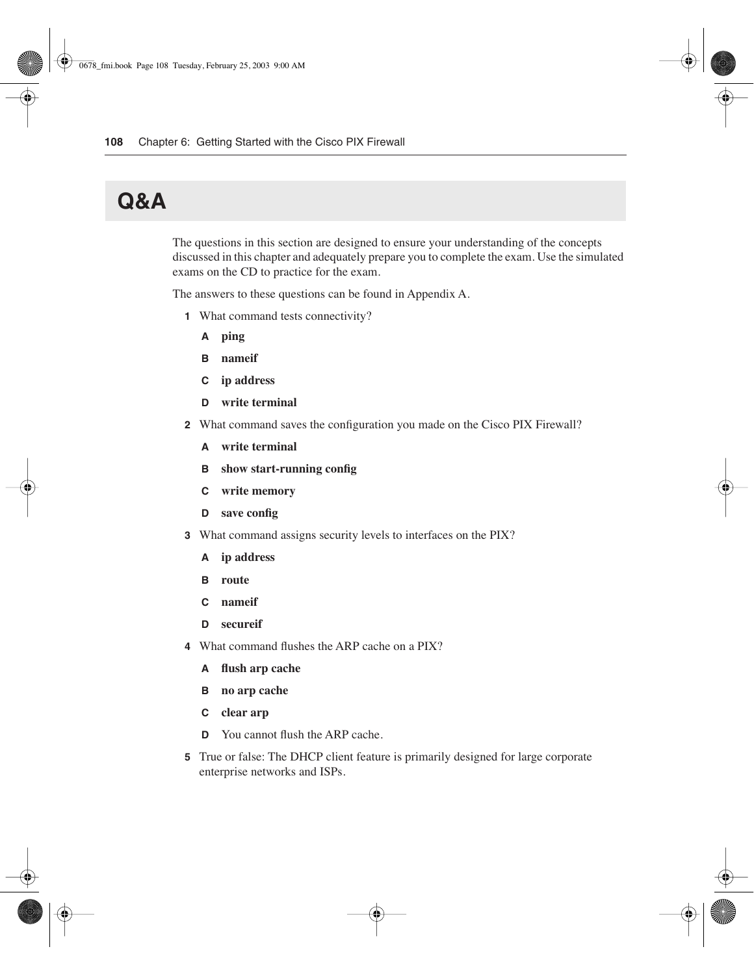# **Q&A**

The questions in this section are designed to ensure your understanding of the concepts discussed in this chapter and adequately prepare you to complete the exam. Use the simulated exams on the CD to practice for the exam.

The answers to these questions can be found in Appendix A.

- **1** What command tests connectivity?
	- **A ping**
	- **B nameif**
	- **C ip address**
	- **D write terminal**
- **2** What command saves the configuration you made on the Cisco PIX Firewall?
	- **A write terminal**
	- **B show start-running config**
	- **C write memory**
	- **D save config**
- **3** What command assigns security levels to interfaces on the PIX?
	- **A ip address**
	- **B route**
	- **C nameif**
	- **D secureif**
- **4** What command flushes the ARP cache on a PIX?
	- **A flush arp cache**
	- **B no arp cache**
	- **C clear arp**
	- **D** You cannot flush the ARP cache.
- **5** True or false: The DHCP client feature is primarily designed for large corporate enterprise networks and ISPs.